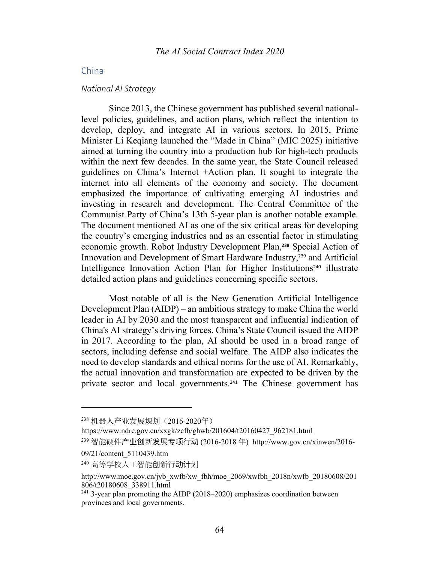# China

#### *National AI Strategy*

Since 2013, the Chinese government has published several nationallevel policies, guidelines, and action plans, which reflect the intention to develop, deploy, and integrate AI in various sectors. In 2015, Prime Minister Li Keqiang launched the "Made in China" (MIC 2025) initiative aimed at turning the country into a production hub for high-tech products within the next few decades. In the same year, the State Council released guidelines on China's Internet +Action plan. It sought to integrate the internet into all elements of the economy and society. The document emphasized the importance of cultivating emerging AI industries and investing in research and development. The Central Committee of the Communist Party of China's 13th 5-year plan is another notable example. The document mentioned AI as one of the six critical areas for developing the country's emerging industries and as an essential factor in stimulating economic growth. Robot Industry Development Plan, **<sup>238</sup>** Special Action of Innovation and Development of Smart Hardware Industry,<sup>239</sup> and Artificial Intelligence Innovation Action Plan for Higher Institutions<sup>240</sup> illustrate detailed action plans and guidelines concerning specific sectors.

Most notable of all is the New Generation Artificial Intelligence Development Plan (AIDP) – an ambitious strategy to make China the world leader in AI by 2030 and the most transparent and influential indication of China's AI strategy's driving forces. China's State Council issued the AIDP in 2017. According to the plan, AI should be used in a broad range of sectors, including defense and social welfare. The AIDP also indicates the need to develop standards and ethical norms for the use of AI. Remarkably, the actual innovation and transformation are expected to be driven by the private sector and local governments.<sup>241</sup> The Chinese government has

<sup>238</sup> 机器人产业发展规划(2016-2020年)

https://www.ndrc.gov.cn/xxgk/zcfb/ghwb/201604/t20160427\_962181.html

<sup>&</sup>lt;sup>239</sup> 智能硬件产业创新发展专项行动 (2016-2018 年) http://www.gov.cn/xinwen/2016-

<sup>09/21/</sup>content\_5110439.htm

<sup>&</sup>lt;sup>240</sup> 高等学校人工智能**创**新行**动计**划

http://www.moe.gov.cn/jyb\_xwfb/xw\_fbh/moe\_2069/xwfbh\_2018n/xwfb\_20180608/201 806/t20180608\_338911.html

 $241$  3-year plan promoting the AIDP (2018–2020) emphasizes coordination between provinces and local governments.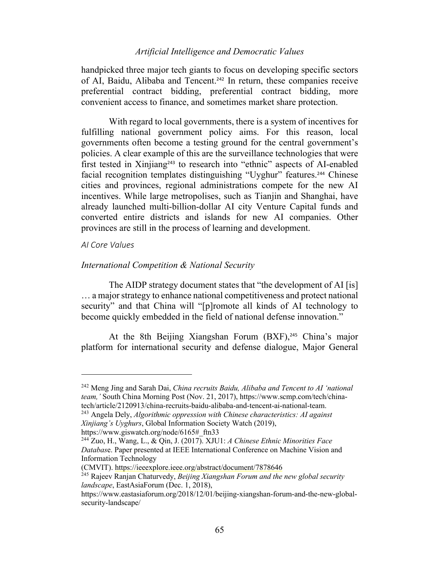handpicked three major tech giants to focus on developing specific sectors of AI, Baidu, Alibaba and Tencent.<sup>242</sup> In return, these companies receive preferential contract bidding, preferential contract bidding, more convenient access to finance, and sometimes market share protection.

With regard to local governments, there is a system of incentives for fulfilling national government policy aims. For this reason, local governments often become a testing ground for the central government's policies. A clear example of this are the surveillance technologies that were first tested in Xinjiang<sup>243</sup> to research into "ethnic" aspects of AI-enabled facial recognition templates distinguishing "Uyghur" features. <sup>244</sup> Chinese cities and provinces, regional administrations compete for the new AI incentives. While large metropolises, such as Tianjin and Shanghai, have already launched multi-billion-dollar AI city Venture Capital funds and converted entire districts and islands for new AI companies. Other provinces are still in the process of learning and development.

# *AI Core Values*

# *International Competition & National Security*

The AIDP strategy document states that "the development of AI [is] … a major strategy to enhance national competitiveness and protect national security" and that China will "[p]romote all kinds of AI technology to become quickly embedded in the field of national defense innovation."

At the 8th Beijing Xiangshan Forum (BXF),<sup>245</sup> China's major platform for international security and defense dialogue, Major General

https://www.giswatch.org/node/6165#\_ftn33

<sup>242</sup> Meng Jing and Sarah Dai, *China recruits Baidu, Alibaba and Tencent to AI 'national team,'* South China Morning Post (Nov. 21, 2017), https://www.scmp.com/tech/chinatech/article/2120913/china-recruits-baidu-alibaba-and-tencent-ai-national-team.

<sup>243</sup> Angela Dely, *Algorithmic oppression with Chinese characteristics: AI against Xinjiang's Uyghurs*, Global Information Society Watch (2019),

<sup>244</sup> Zuo, H., Wang, L., & Qin, J. (2017). XJU1: *A Chinese Ethnic Minorities Face Databas*e. Paper presented at IEEE International Conference on Machine Vision and Information Technology

<sup>(</sup>CMVIT). https://ieeexplore.ieee.org/abstract/document/7878646

<sup>245</sup> Rajeev Ranjan Chaturvedy, *Beijing Xiangshan Forum and the new global security landscape*, EastAsiaForum (Dec. 1, 2018),

https://www.eastasiaforum.org/2018/12/01/beijing-xiangshan-forum-and-the-new-globalsecurity-landscape/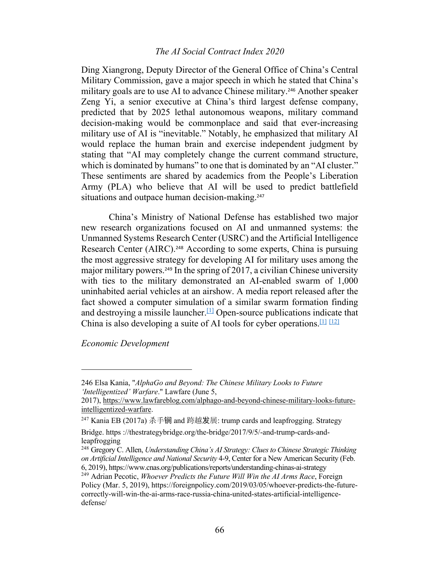Ding Xiangrong, Deputy Director of the General Office of China's Central Military Commission, gave a major speech in which he stated that China's military goals are to use AI to advance Chinese military.<sup>246</sup> Another speaker Zeng Yi, a senior executive at China's third largest defense company, predicted that by 2025 lethal autonomous weapons, military command decision-making would be commonplace and said that ever-increasing military use of AI is "inevitable." Notably, he emphasized that military AI would replace the human brain and exercise independent judgment by stating that "AI may completely change the current command structure, which is dominated by humans" to one that is dominated by an "AI cluster." These sentiments are shared by academics from the People's Liberation Army (PLA) who believe that AI will be used to predict battlefield situations and outpace human decision-making.<sup>247</sup>

China's Ministry of National Defense has established two major new research organizations focused on AI and unmanned systems: the Unmanned Systems Research Center (USRC) and the Artificial Intelligence Research Center (AIRC).<sup>248</sup> According to some experts, China is pursuing the most aggressive strategy for developing AI for military uses among the major military powers.<sup>249</sup> In the spring of 2017, a civilian Chinese university with ties to the military demonstrated an AI-enabled swarm of 1,000 uninhabited aerial vehicles at an airshow. A media report released after the fact showed a computer simulation of a similar swarm formation finding and destroying a missile launcher.<sup>[1]</sup> Open-source publications indicate that China is also developing a suite of AI tools for cyber operations.<sup>[1] [12]</sup>

*Economic Development*

<sup>246</sup> Elsa Kania, "*AlphaGo and Beyond: The Chinese Military Looks to Future 'Intelligentized' Warfare*." Lawfare (June 5,

<sup>2017),</sup> https://www.lawfareblog.com/alphago-and-beyond-chinese-military-looks-futureintelligentized-warfare.

 $247$  Kania EB (2017a) 杀手锏 and 跨越发展: trump cards and leapfrogging. Strategy

Bridge. https ://thestrategybridge.org/the-bridge/2017/9/5/-and-trump-cards-andleapfrogging

<sup>248</sup> Gregory C. Allen, *Understanding China's AI Strategy: Clues to Chinese Strategic Thinking on Artificial Intelligence and National Security* 4-9, Center for a New American Security (Feb. 6, 2019), https://www.cnas.org/publications/reports/understanding-chinas-ai-strategy

<sup>249</sup> Adrian Pecotic, *Whoever Predicts the Future Will Win the AI Arms Race*, Foreign Policy (Mar. 5, 2019), https://foreignpolicy.com/2019/03/05/whoever-predicts-the-futurecorrectly-will-win-the-ai-arms-race-russia-china-united-states-artificial-intelligencedefense/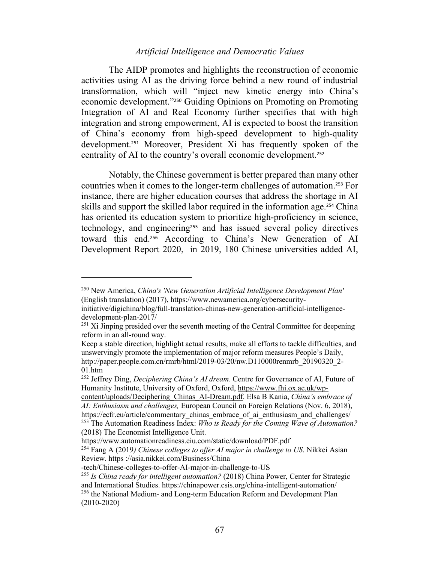The AIDP promotes and highlights the reconstruction of economic activities using AI as the driving force behind a new round of industrial transformation, which will "inject new kinetic energy into China's economic development."<sup>250</sup> Guiding Opinions on Promoting on Promoting Integration of AI and Real Economy further specifies that with high integration and strong empowerment, AI is expected to boost the transition of China's economy from high-speed development to high-quality development.<sup>251</sup> Moreover, President Xi has frequently spoken of the centrality of AI to the country's overall economic development. 252

Notably, the Chinese government is better prepared than many other countries when it comes to the longer-term challenges of automation. <sup>253</sup> For instance, there are higher education courses that address the shortage in AI skills and support the skilled labor required in the information age.<sup>254</sup> China has oriented its education system to prioritize high-proficiency in science, technology, and engineering<sup>255</sup> and has issued several policy directives toward this end.<sup>256</sup> According to China's New Generation of AI Development Report 2020, in 2019, 180 Chinese universities added AI,

(2018) The Economist Intelligence Unit.

<sup>250</sup> New America, *China's 'New Generation Artificial Intelligence Development Plan'*  (English translation) (2017), https://www.newamerica.org/cybersecurity-

initiative/digichina/blog/full-translation-chinas-new-generation-artificial-intelligencedevelopment-plan-2017/

 $251$  Xi Jinping presided over the seventh meeting of the Central Committee for deepening reform in an all-round way.

Keep a stable direction, highlight actual results, make all efforts to tackle difficulties, and unswervingly promote the implementation of major reform measures People's Daily, http://paper.people.com.cn/rmrb/html/2019-03/20/nw.D110000renmrb\_20190320\_2-01.htm

<sup>252</sup> Jeffrey Ding, *Deciphering China's AI dream*. Centre for Governance of AI, Future of Humanity Institute, University of Oxford, Oxford, https://www.fhi.ox.ac.uk/wp-

content/uploads/Deciphering\_Chinas\_AI-Dream.pdf. Elsa B Kania, *China's embrace of AI: Enthusiasm and challenges,* European Council on Foreign Relations (Nov. 6, 2018), https://ecfr.eu/article/commentary\_chinas\_embrace\_of\_ai\_enthusiasm\_and\_challenges/ <sup>253</sup> The Automation Readiness Index: *Who is Ready for the Coming Wave of Automation?*

https://www.automationreadiness.eiu.com/static/download/PDF.pdf

<sup>254</sup> Fang A (2019*) Chinese colleges to offer AI major in challenge to US*. Nikkei Asian Review. https ://asia.nikkei.com/Business/China

<sup>-</sup>tech/Chinese-colleges-to-offer-AI-major-in-challenge-to-US

<sup>255</sup> *Is China ready for intelligent automation?* (2018) China Power, Center for Strategic and International Studies. https://chinapower.csis.org/china-intelligent-automation/ <sup>256</sup> the National Medium- and Long-term Education Reform and Development Plan (2010-2020)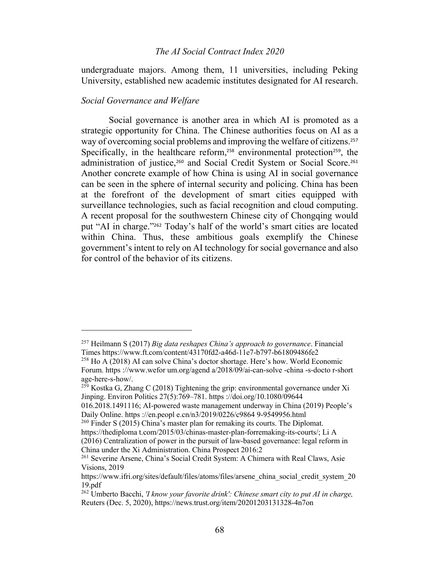undergraduate majors. Among them, 11 universities, including Peking University, established new academic institutes designated for AI research.

# *Social Governance and Welfare*

Social governance is another area in which AI is promoted as a strategic opportunity for China. The Chinese authorities focus on AI as a way of overcoming social problems and improving the welfare of citizens.<sup>257</sup> Specifically, in the healthcare reform,<sup>258</sup> environmental protection<sup>259</sup>, the administration of justice,<sup>260</sup> and Social Credit System or Social Score.<sup>261</sup> Another concrete example of how China is using AI in social governance can be seen in the sphere of internal security and policing. China has been at the forefront of the development of smart cities equipped with surveillance technologies, such as facial recognition and cloud computing. A recent proposal for the southwestern Chinese city of Chongqing would put "AI in charge."<sup>262</sup> Today's half of the world's smart cities are located within China. Thus, these ambitious goals exemplify the Chinese government's intent to rely on AI technology for social governance and also for control of the behavior of its citizens.

<sup>257</sup> Heilmann S (2017) *Big data reshapes China's approach to governance*. Financial Times https://www.ft.com/content/43170fd2-a46d-11e7-b797-b61809486fe2

 $^{258}$  Ho A (2018) AI can solve China's doctor shortage. Here's how. World Economic Forum. https ://www.wefor um.org/agend a/2018/09/ai-can-solve -china -s-docto r-short age-here-s-how/.

 $^{259}$  Kostka G, Zhang C (2018) Tightening the grip: environmental governance under Xi Jinping. Environ Politics 27(5):769–781. https ://doi.org/10.1080/09644

<sup>016.2018.1491116;</sup> AI-powered waste management underway in China (2019) People's Daily Online. https ://en.peopl e.cn/n3/2019/0226/c9864 9-9549956.html

 $^{260}$  Finder S (2015) China's master plan for remaking its courts. The Diplomat.

https://thediploma t.com/2015/03/chinas-master-plan-forremaking-its-courts/; Li A (2016) Centralization of power in the pursuit of law-based governance: legal reform in China under the Xi Administration. China Prospect 2016:2

<sup>261</sup> Severine Arsene, China's Social Credit System: A Chimera with Real Claws, Asie Visions, 2019

https://www.ifri.org/sites/default/files/atoms/files/arsene\_china\_social\_credit\_system\_20 19.pdf

<sup>262</sup> Umberto Bacchi, *'I know your favorite drink': Chinese smart city to put AI in charge,* Reuters (Dec. 5, 2020), https://news.trust.org/item/20201203131328-4n7on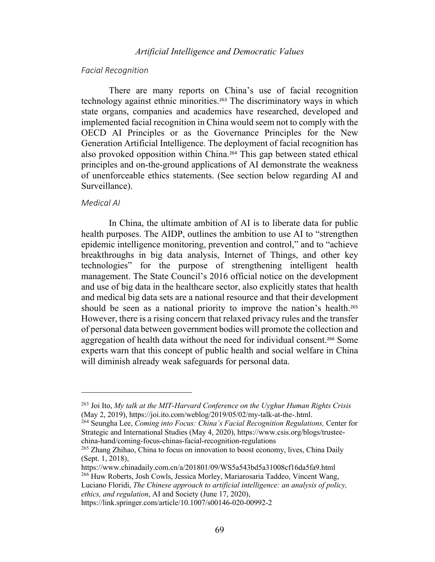#### *Facial Recognition*

There are many reports on China's use of facial recognition technology against ethnic minorities.<sup>263</sup> The discriminatory ways in which state organs, companies and academics have researched, developed and implemented facial recognition in China would seem not to comply with the OECD AI Principles or as the Governance Principles for the New Generation Artificial Intelligence. The deployment of facial recognition has also provoked opposition within China.<sup>264</sup> This gap between stated ethical principles and on-the-ground applications of AI demonstrate the weakness of unenforceable ethics statements. (See section below regarding AI and Surveillance).

#### *Medical AI*

In China, the ultimate ambition of AI is to liberate data for public health purposes. The AIDP, outlines the ambition to use AI to "strengthen epidemic intelligence monitoring, prevention and control," and to "achieve breakthroughs in big data analysis, Internet of Things, and other key technologies" for the purpose of strengthening intelligent health management. The State Council's 2016 official notice on the development and use of big data in the healthcare sector, also explicitly states that health and medical big data sets are a national resource and that their development should be seen as a national priority to improve the nation's health.<sup>265</sup> However, there is a rising concern that relaxed privacy rules and the transfer of personal data between government bodies will promote the collection and aggregation of health data without the need for individual consent.<sup>266</sup> Some experts warn that this concept of public health and social welfare in China will diminish already weak safeguards for personal data.

*ethics, and regulation*, AI and Society (June 17, 2020),

<sup>263</sup> Joi Ito, *My talk at the MIT-Harvard Conference on the Uyghur Human Rights Crisis*  (May 2, 2019), https://joi.ito.com/weblog/2019/05/02/my-talk-at-the-.html.

<sup>264</sup> Seungha Lee, *Coming into Focus: China's Facial Recognition Regulations,* Center for Strategic and International Studies (May 4, 2020), https://www.csis.org/blogs/trusteechina-hand/coming-focus-chinas-facial-recognition-regulations

<sup>265</sup> Zhang Zhihao, China to focus on innovation to boost economy, lives, China Daily (Sept. 1, 2018),

https://www.chinadaily.com.cn/a/201801/09/WS5a543bd5a31008cf16da5fa9.html <sup>266</sup> Huw Roberts, Josh Cowls, Jessica Morley, Mariarosaria Taddeo, Vincent Wang, Luciano Floridi, *The Chinese approach to artificial intelligence: an analysis of policy,* 

https://link.springer.com/article/10.1007/s00146-020-00992-2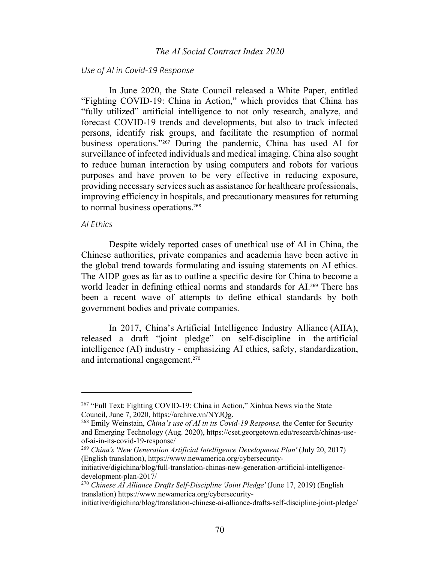#### *Use of AI in Covid-19 Response*

In June 2020, the State Council released a White Paper, entitled "Fighting COVID-19: China in Action," which provides that China has "fully utilized" artificial intelligence to not only research, analyze, and forecast COVID-19 trends and developments, but also to track infected persons, identify risk groups, and facilitate the resumption of normal business operations."<sup>267</sup> During the pandemic, China has used AI for surveillance of infected individuals and medical imaging. China also sought to reduce human interaction by using computers and robots for various purposes and have proven to be very effective in reducing exposure, providing necessary services such as assistance for healthcare professionals, improving efficiency in hospitals, and precautionary measures for returning to normal business operations.<sup>268</sup>

#### *AI Ethics*

Despite widely reported cases of unethical use of AI in China, the Chinese authorities, private companies and academia have been active in the global trend towards formulating and issuing statements on AI ethics. The AIDP goes as far as to outline a specific desire for China to become a world leader in defining ethical norms and standards for AI.<sup>269</sup> There has been a recent wave of attempts to define ethical standards by both government bodies and private companies.

In 2017, China's Artificial Intelligence Industry Alliance (AIIA), released a draft "joint pledge" on self-discipline in the artificial intelligence (AI) industry - emphasizing AI ethics, safety, standardization, and international engagement.<sup>270</sup>

<sup>&</sup>lt;sup>267</sup> "Full Text: Fighting COVID-19: China in Action," Xinhua News via the State Council, June 7, 2020, https://archive.vn/NYJQg.

<sup>268</sup> Emily Weinstain, *China's use of AI in its Covid-19 Response,* the Center for Security and Emerging Technology (Aug. 2020), https://cset.georgetown.edu/research/chinas-useof-ai-in-its-covid-19-response/

<sup>269</sup> *China's 'New Generation Artificial Intelligence Development Plan'* (July 20, 2017) (English translation), https://www.newamerica.org/cybersecurity-

initiative/digichina/blog/full-translation-chinas-new-generation-artificial-intelligencedevelopment-plan-2017/

<sup>270</sup> *Chinese AI Alliance Drafts Self-Discipline 'Joint Pledge'* (June 17, 2019) (English translation) https://www.newamerica.org/cybersecurity-

initiative/digichina/blog/translation-chinese-ai-alliance-drafts-self-discipline-joint-pledge/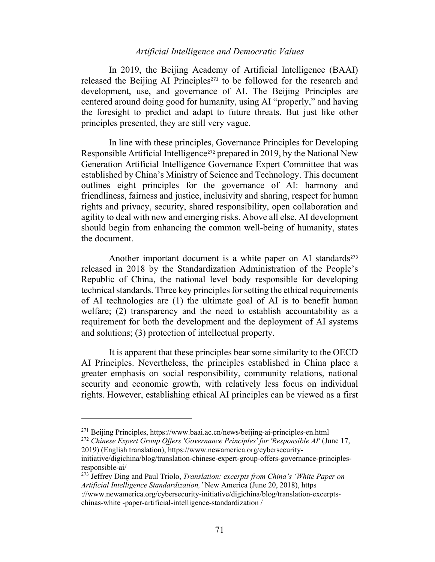In 2019, the Beijing Academy of Artificial Intelligence (BAAI) released the Beijing AI Principles<sup>271</sup> to be followed for the research and development, use, and governance of AI. The Beijing Principles are centered around doing good for humanity, using AI "properly," and having the foresight to predict and adapt to future threats. But just like other principles presented, they are still very vague.

In line with these principles, Governance Principles for Developing Responsible Artificial Intelligence<sup>272</sup> prepared in 2019, by the National New Generation Artificial Intelligence Governance Expert Committee that was established by China's Ministry of Science and Technology. This document outlines eight principles for the governance of AI: harmony and friendliness, fairness and justice, inclusivity and sharing, respect for human rights and privacy, security, shared responsibility, open collaboration and agility to deal with new and emerging risks. Above all else, AI development should begin from enhancing the common well-being of humanity, states the document.

Another important document is a white paper on AI standards<sup>273</sup> released in 2018 by the Standardization Administration of the People's Republic of China, the national level body responsible for developing technical standards. Three key principles for setting the ethical requirements of AI technologies are (1) the ultimate goal of AI is to benefit human welfare; (2) transparency and the need to establish accountability as a requirement for both the development and the deployment of AI systems and solutions; (3) protection of intellectual property.

It is apparent that these principles bear some similarity to the OECD AI Principles. Nevertheless, the principles established in China place a greater emphasis on social responsibility, community relations, national security and economic growth, with relatively less focus on individual rights. However, establishing ethical AI principles can be viewed as a first

<sup>271</sup> Beijing Principles, https://www.baai.ac.cn/news/beijing-ai-principles-en.html

<sup>272</sup> *Chinese Expert Group Offers 'Governance Principles' for 'Responsible AI'* (June 17, 2019) (English translation), https://www.newamerica.org/cybersecurity-

initiative/digichina/blog/translation-chinese-expert-group-offers-governance-principlesresponsible-ai/

<sup>273</sup> Jeffrey Ding and Paul Triolo, *Translation: excerpts from China's 'White Paper on Artificial Intelligence Standardization,'* New America (June 20, 2018), https

<sup>://</sup>www.newamerica.org/cybersecurity-initiative/digichina/blog/translation-excerptschinas-white -paper-artificial-intelligence-standardization /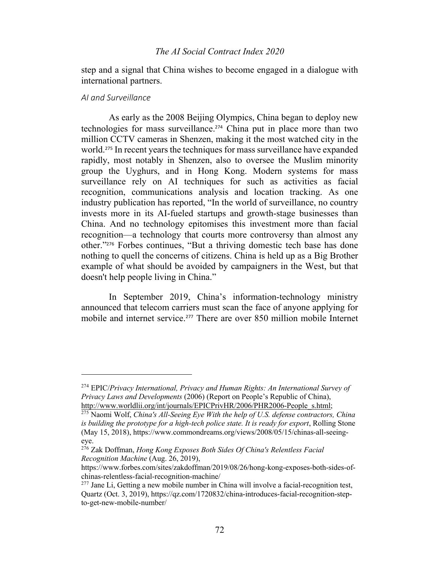step and a signal that China wishes to become engaged in a dialogue with international partners.

#### *AI and Surveillance*

As early as the 2008 Beijing Olympics, China began to deploy new technologies for mass surveillance.<sup>274</sup> China put in place more than two million CCTV cameras in Shenzen, making it the most watched city in the world.<sup>275</sup> In recent years the techniques for mass surveillance have expanded rapidly, most notably in Shenzen, also to oversee the Muslim minority group the Uyghurs, and in Hong Kong. Modern systems for mass surveillance rely on AI techniques for such as activities as facial recognition, communications analysis and location tracking. As one industry publication has reported, "In the world of surveillance, no country invests more in its AI-fueled startups and growth-stage businesses than China. And no technology epitomises this investment more than facial recognition—a technology that courts more controversy than almost any other."<sup>276</sup> Forbes continues, "But a thriving domestic tech base has done nothing to quell the concerns of citizens. China is held up as a Big Brother example of what should be avoided by campaigners in the West, but that doesn't help people living in China."

In September 2019, China's information-technology ministry announced that telecom carriers must scan the face of anyone applying for mobile and internet service.<sup>277</sup> There are over 850 million mobile Internet

<sup>274</sup> EPIC/*Privacy International, Privacy and Human Rights: An International Survey of Privacy Laws and Developments* (2006) (Report on People's Republic of China), http://www.worldlii.org/int/journals/EPICPrivHR/2006/PHR2006-People\_s.html;

<sup>275</sup> Naomi Wolf, *China's All-Seeing Eye With the help of U.S. defense contractors, China is building the prototype for a high-tech police state. It is ready for export*, Rolling Stone (May 15, 2018), https://www.commondreams.org/views/2008/05/15/chinas-all-seeingeye.

<sup>276</sup> Zak Doffman, *Hong Kong Exposes Both Sides Of China's Relentless Facial Recognition Machine* (Aug. 26, 2019),

https://www.forbes.com/sites/zakdoffman/2019/08/26/hong-kong-exposes-both-sides-ofchinas-relentless-facial-recognition-machine/

 $277$  Jane Li, Getting a new mobile number in China will involve a facial-recognition test, Quartz (Oct. 3, 2019), https://qz.com/1720832/china-introduces-facial-recognition-stepto-get-new-mobile-number/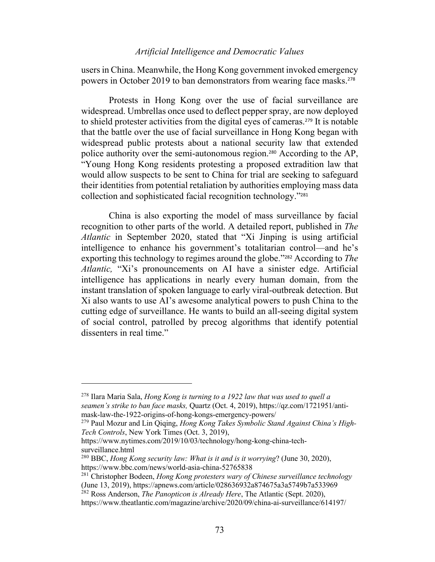users in China. Meanwhile, the Hong Kong government invoked emergency powers in October 2019 to ban demonstrators from wearing face masks.<sup>278</sup>

Protests in Hong Kong over the use of facial surveillance are widespread. Umbrellas once used to deflect pepper spray, are now deployed to shield protester activities from the digital eyes of cameras. <sup>279</sup> It is notable that the battle over the use of facial surveillance in Hong Kong began with widespread public protests about a national security law that extended police authority over the semi-autonomous region.<sup>280</sup> According to the AP, "Young Hong Kong residents protesting a proposed extradition law that would allow suspects to be sent to China for trial are seeking to safeguard their identities from potential retaliation by authorities employing mass data collection and sophisticated facial recognition technology."<sup>281</sup>

China is also exporting the model of mass surveillance by facial recognition to other parts of the world. A detailed report, published in *The Atlantic* in September 2020, stated that "Xi Jinping is using artificial intelligence to enhance his government's totalitarian control—and he's exporting this technology to regimes around the globe."<sup>282</sup> According to *The Atlantic,* "Xi's pronouncements on AI have a sinister edge. Artificial intelligence has applications in nearly every human domain, from the instant translation of spoken language to early viral-outbreak detection. But Xi also wants to use AI's awesome analytical powers to push China to the cutting edge of surveillance. He wants to build an all-seeing digital system of social control, patrolled by precog algorithms that identify potential dissenters in real time."

<sup>278</sup> Ilara Maria Sala, *Hong Kong is turning to a 1922 law that was used to quell a seamen's strike to ban face masks,* Quartz (Oct. 4, 2019), https://qz.com/1721951/antimask-law-the-1922-origins-of-hong-kongs-emergency-powers/

<sup>279</sup> Paul Mozur and Lin Qiqing, *Hong Kong Takes Symbolic Stand Against China's High-Tech Controls*, New York Times (Oct. 3, 2019),

https://www.nytimes.com/2019/10/03/technology/hong-kong-china-techsurveillance.html

<sup>280</sup> BBC, *Hong Kong security law: What is it and is it worrying*? (June 30, 2020), https://www.bbc.com/news/world-asia-china-52765838

<sup>281</sup> Christopher Bodeen, *Hong Kong protesters wary of Chinese surveillance technology* (June 13, 2019), https://apnews.com/article/028636932a874675a3a5749b7a533969

<sup>282</sup> Ross Anderson, *The Panopticon is Already Here*, The Atlantic (Sept. 2020),

https://www.theatlantic.com/magazine/archive/2020/09/china-ai-surveillance/614197/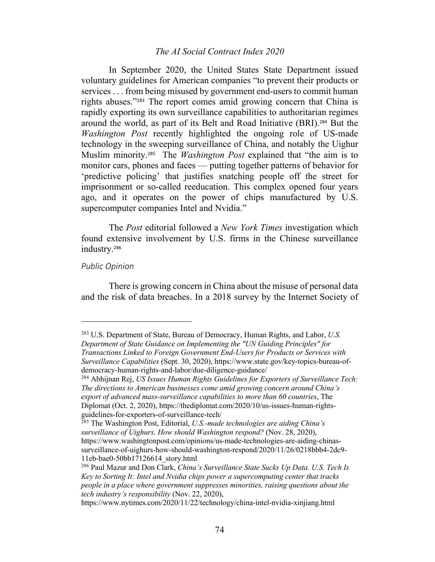In September 2020, the United States State Department issued voluntary guidelines for American companies "to prevent their products or services . . . from being misused by government end-users to commit human rights abuses."<sup>283</sup> The report comes amid growing concern that China is rapidly exporting its own surveillance capabilities to authoritarian regimes around the world, as part of its Belt and Road Initiative (BRI).<sup>284</sup> But the *Washington Post* recently highlighted the ongoing role of US-made technology in the sweeping surveillance of China, and notably the Uighur Muslim minority. <sup>285</sup> The *Washington Post* explained that "the aim is to monitor cars, phones and faces — putting together patterns of behavior for 'predictive policing' that justifies snatching people off the street for imprisonment or so-called reeducation. This complex opened four years ago, and it operates on the power of chips manufactured by U.S. supercomputer companies Intel and Nvidia."

The *Post* editorial followed a *New York Times* investigation which found extensive involvement by U.S. firms in the Chinese surveillance industry.<sup>286</sup>

#### *Public Opinion*

There is growing concern in China about the misuse of personal data and the risk of data breaches. In a 2018 survey by the Internet Society of

<sup>283</sup> U.S. Department of State, Bureau of Democracy, Human Rights, and Labor, *U.S. Department of State Guidance on Implementing the "UN Guiding Principles" for Transactions Linked to Foreign Government End-Users for Products or Services with Surveillance Capabilities* (Sept. 30, 2020), https://www.state.gov/key-topics-bureau-ofdemocracy-human-rights-and-labor/due-diligence-guidance/

<sup>284</sup> Abhijnan Rej, *US Issues Human Rights Guidelines for Exporters of Surveillance Tech: The directions to American businesses come amid growing concern around China's export of advanced mass-surveillance capabilities to more than 60 countries*, The Diplomat (Oct. 2, 2020), https://thediplomat.com/2020/10/us-issues-human-rightsguidelines-for-exporters-of-surveillance-tech/

<sup>285</sup> The Washington Post, Editorial, *U.S.-made technologies are aiding China's surveillance of Uighurs. How should Washington respond?* (Nov. 28, 2020), https://www.washingtonpost.com/opinions/us-made-technologies-are-aiding-chinassurveillance-of-uighurs-how-should-washington-respond/2020/11/26/0218bbb4-2dc9- 11eb-bae0-50bb17126614\_story.html

<sup>286</sup> Paul Mazur and Don Clark, *China's Surveillance State Sucks Up Data. U.S. Tech Is Key to Sorting It: Intel and Nvidia chips power a supercomputing center that tracks people in a place where government suppresses minorities, raising questions about the tech industry's responsibility* (Nov. 22, 2020),

https://www.nytimes.com/2020/11/22/technology/china-intel-nvidia-xinjiang.html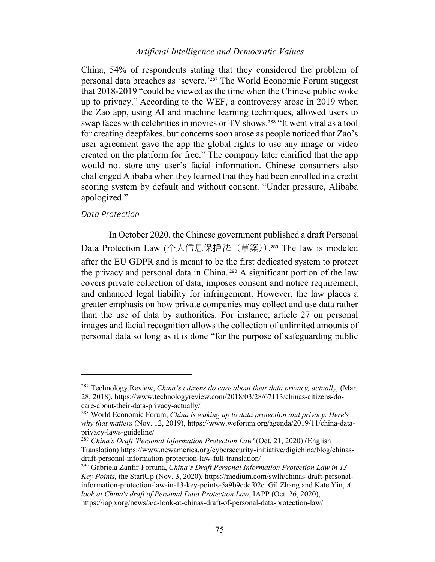China, 54% of respondents stating that they considered the problem of personal data breaches as 'severe.'<sup>287</sup> The World Economic Forum suggest that 2018-2019 "could be viewed as the time when the Chinese public woke up to privacy." According to the WEF, a controversy arose in 2019 when the Zao app, using AI and machine learning techniques, allowed users to swap faces with celebrities in movies or TV shows.<sup>288</sup> "It went viral as a tool for creating deepfakes, but concerns soon arose as people noticed that Zao's user agreement gave the app the global rights to use any image or video created on the platform for free." The company later clarified that the app would not store any user's facial information. Chinese consumers also challenged Alibaba when they learned that they had been enrolled in a credit scoring system by default and without consent. "Under pressure, Alibaba apologized."

#### *Data Protection*

In October 2020, the Chinese government published a draft Personal Data Protection Law (个人信息保护法 (草案)).<sup>289</sup> The law is modeled after the EU GDPR and is meant to be the first dedicated system to protect the privacy and personal data in China. <sup>290</sup> A significant portion of the law covers private collection of data, imposes consent and notice requirement, and enhanced legal liability for infringement. However, the law places a greater emphasis on how private companies may collect and use data rather than the use of data by authorities. For instance, article 27 on personal images and facial recognition allows the collection of unlimited amounts of personal data so long as it is done "for the purpose of safeguarding public

<sup>287</sup> Technology Review, *China's citizens do care about their data privacy, actually,* (Mar. 28, 2018), https://www.technologyreview.com/2018/03/28/67113/chinas-citizens-docare-about-their-data-privacy-actually/

<sup>288</sup> World Economic Forum, *China is waking up to data protection and privacy. Here's why that matters* (Nov. 12, 2019), https://www.weforum.org/agenda/2019/11/china-dataprivacy-laws-guideline/

<sup>&</sup>lt;sup>289</sup> China's Draft 'Personal Information Protection Law' (Oct. 21, 2020) (English Translation) https://www.newamerica.org/cybersecurity-initiative/digichina/blog/chinasdraft-personal-information-protection-law-full-translation/

<sup>290</sup> Gabriela Zanfir-Fortuna, *China's Draft Personal Information Protection Law in 13 Key Points,* the StartUp (Nov. 3, 2020), https://medium.com/swlh/chinas-draft-personalinformation-protection-law-in-13-key-points-5a9b9cdcf02c. Gil Zhang and Kate Yin, *A look at China's draft of Personal Data Protection Law*, IAPP (Oct. 26, 2020), https://iapp.org/news/a/a-look-at-chinas-draft-of-personal-data-protection-law/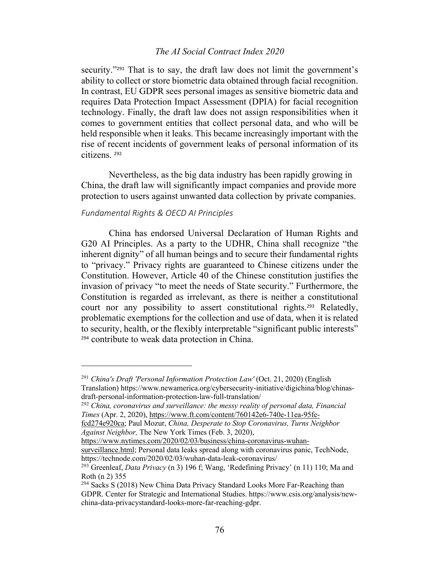security."<sup>291</sup> That is to say, the draft law does not limit the government's ability to collect or store biometric data obtained through facial recognition. In contrast, EU GDPR sees personal images as sensitive biometric data and requires Data Protection Impact Assessment (DPIA) for facial recognition technology. Finally, the draft law does not assign responsibilities when it comes to government entities that collect personal data, and who will be held responsible when it leaks. This became increasingly important with the rise of recent incidents of government leaks of personal information of its citizens. <sup>292</sup>

Nevertheless, as the big data industry has been rapidly growing in China, the draft law will significantly impact companies and provide more protection to users against unwanted data collection by private companies.

# *Fundamental Rights & OECD AI Principles*

China has endorsed Universal Declaration of Human Rights and G20 AI Principles. As a party to the UDHR, China shall recognize "the inherent dignity" of all human beings and to secure their fundamental rights to "privacy." Privacy rights are guaranteed to Chinese citizens under the Constitution. However, Article 40 of the Chinese constitution justifies the invasion of privacy "to meet the needs of State security." Furthermore, the Constitution is regarded as irrelevant, as there is neither a constitutional court nor any possibility to assert constitutional rights.<sup>293</sup> Relatedly, problematic exemptions for the collection and use of data, when it is related to security, health, or the flexibly interpretable "significant public interests" <sup>294</sup> contribute to weak data protection in China.

<sup>&</sup>lt;sup>291</sup> *China's Draft 'Personal Information Protection Law'* (Oct. 21, 2020) (English Translation) https://www.newamerica.org/cybersecurity-initiative/digichina/blog/chinasdraft-personal-information-protection-law-full-translation/

<sup>292</sup> *China, coronavirus and surveillance: the messy reality of personal data, Financial Times* (Apr. 2, 2020), https://www.ft.com/content/760142e6-740e-11ea-95fe-

fcd274e920ca; Paul Mozur, *China, Desperate to Stop Coronavirus, Turns Neighbor Against Neighbor,* The New York Times (Feb. 3, 2020),

https://www.nytimes.com/2020/02/03/business/china-coronavirus-wuhan-

surveillance.html; Personal data leaks spread along with coronavirus panic, TechNode, https://technode.com/2020/02/03/wuhan-data-leak-coronavirus/

<sup>293</sup> Greenleaf, *Data Privacy* (n 3) 196 f; Wang, 'Redefining Privacy' (n 11) 110; Ma and Roth (n 2) 355

<sup>&</sup>lt;sup>294</sup> Sacks S (2018) New China Data Privacy Standard Looks More Far-Reaching than GDPR. Center for Strategic and International Studies. https://www.csis.org/analysis/newchina-data-privacystandard-looks-more-far-reaching-gdpr.